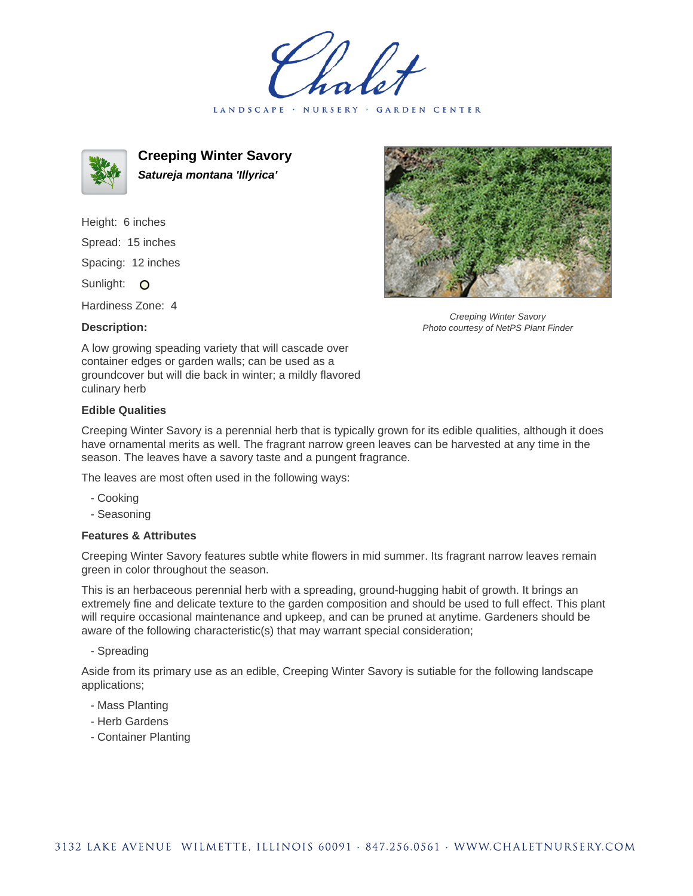holet LANDSCAPE · NURSERY · GARDEN CENTER



**Creeping Winter Savory Satureja montana 'Illyrica'**

Height: 6 inches Spread: 15 inches Spacing: 12 inches Sunlight: O

Hardiness Zone: 4

## **Description:**



Creeping Winter Savory Photo courtesy of NetPS Plant Finder

A low growing speading variety that will cascade over container edges or garden walls; can be used as a groundcover but will die back in winter; a mildly flavored culinary herb

## **Edible Qualities**

Creeping Winter Savory is a perennial herb that is typically grown for its edible qualities, although it does have ornamental merits as well. The fragrant narrow green leaves can be harvested at any time in the season. The leaves have a savory taste and a pungent fragrance.

The leaves are most often used in the following ways:

- Cooking
- Seasoning

## **Features & Attributes**

Creeping Winter Savory features subtle white flowers in mid summer. Its fragrant narrow leaves remain green in color throughout the season.

This is an herbaceous perennial herb with a spreading, ground-hugging habit of growth. It brings an extremely fine and delicate texture to the garden composition and should be used to full effect. This plant will require occasional maintenance and upkeep, and can be pruned at anytime. Gardeners should be aware of the following characteristic(s) that may warrant special consideration;

- Spreading

Aside from its primary use as an edible, Creeping Winter Savory is sutiable for the following landscape applications;

- Mass Planting
- Herb Gardens
- Container Planting